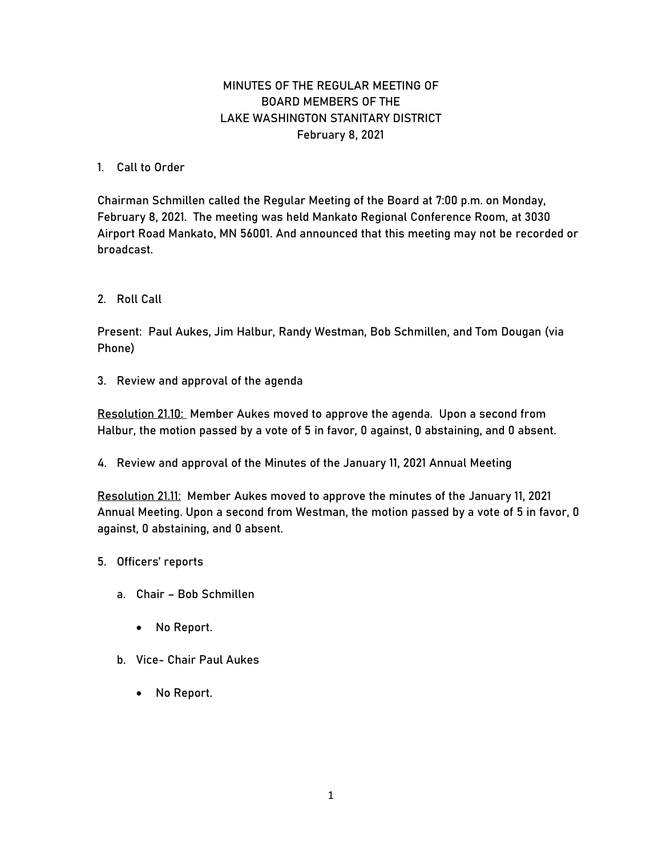## MINUTES OF THE REGULAR MEETING OF BOARD MEMBERS OF THE LAKE WASHINGTON STANITARY DISTRICT February 8, 2021

## 1. Call to Order

Chairman Schmillen called the Regular Meeting of the Board at 7:00 p.m. on Monday, February 8, 2021. The meeting was held Mankato Regional Conference Room, at 3030 Airport Road Mankato, MN 56001. And announced that this meeting may not be recorded or broadcast.

2. Roll Call

Present: Paul Aukes, Jim Halbur, Randy Westman, Bob Schmillen, and Tom Dougan (via Phone)

3. Review and approval of the agenda

Resolution 21.10: Member Aukes moved to approve the agenda. Upon a second from Halbur, the motion passed by a vote of 5 in favor, 0 against, 0 abstaining, and 0 absent.

4. Review and approval of the Minutes of the January 11, 2021 Annual Meeting

Resolution 21.11: Member Aukes moved to approve the minutes of the January 11, 2021 Annual Meeting. Upon a second from Westman, the motion passed by a vote of 5 in favor, 0 against, 0 abstaining, and 0 absent.

- 5. Officers' reports
	- a. Chair Bob Schmillen
		- No Report.
	- b. Vice- Chair Paul Aukes
		- No Report.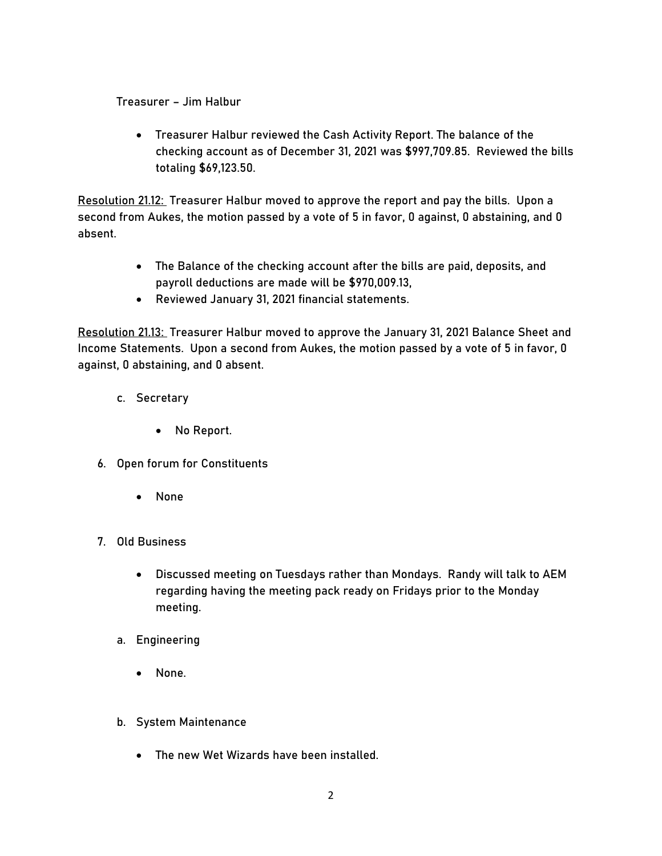Treasurer – Jim Halbur

• Treasurer Halbur reviewed the Cash Activity Report. The balance of the checking account as of December 31, 2021 was \$997,709.85. Reviewed the bills totaling \$69,123.50.

Resolution 21.12: Treasurer Halbur moved to approve the report and pay the bills. Upon a second from Aukes, the motion passed by a vote of 5 in favor, 0 against, 0 abstaining, and 0 absent.

- The Balance of the checking account after the bills are paid, deposits, and payroll deductions are made will be \$970,009.13,
- Reviewed January 31, 2021 financial statements.

Resolution 21.13: Treasurer Halbur moved to approve the January 31, 2021 Balance Sheet and Income Statements. Upon a second from Aukes, the motion passed by a vote of 5 in favor, 0 against, 0 abstaining, and 0 absent.

- c. Secretary
	- No Report.
- 6. Open forum for Constituents
	- None
- 7. Old Business
	- Discussed meeting on Tuesdays rather than Mondays. Randy will talk to AEM regarding having the meeting pack ready on Fridays prior to the Monday meeting.
	- a. Engineering
		- None.
	- b. System Maintenance
		- The new Wet Wizards have been installed.